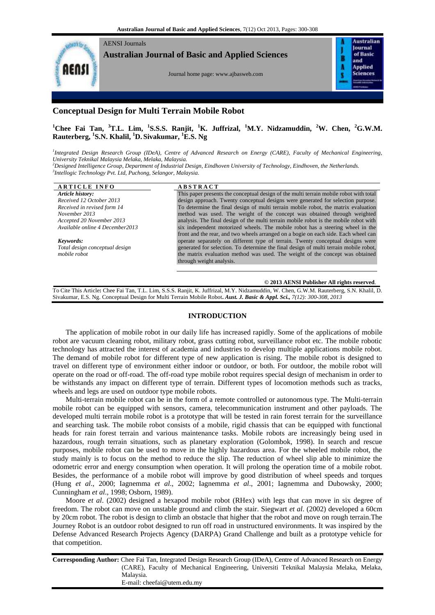

**Australian Journal of Basic and Applied Sciences**

Journal home page[: www.ajbasweb.com](http://www.ajbasweb.com/)

Australian **Inurnal** of Basic В and A **Applied** Sciences

# **Conceptual Design for Multi Terrain Mobile Robot**

**<sup>1</sup>Chee Fai Tan, <sup>3</sup>T.L. Lim, <sup>1</sup> S.S.S. Ranjit, <sup>1</sup>K. Juffrizal, <sup>1</sup>M.Y. Nidzamuddin, <sup>2</sup>W. Chen, <sup>2</sup>G.W.M. Rauterberg, <sup>1</sup> S.N. Khalil, <sup>1</sup>D. Sivakumar, <sup>1</sup>E.S. Ng**

<sup>1</sup>Integrated Design Research Group (IDeA), Centre of Advanced Research on Energy (CARE), Faculty of Mechanical Engineering, *University Teknikal Malaysia Melaka, Melaka, Malaysia.*

*<sup>2</sup>Designed Intelligence Group, Department of Industrial Design, Eindhoven University of Technology, Eindhoven, the Netherlands. 3 Intellogic Technology Pvt. Ltd, Puchong, Selangor, Malaysia.*

| <b>ARTICLE INFO</b>             | <b>ABSTRACT</b>                                                                        |
|---------------------------------|----------------------------------------------------------------------------------------|
| Article history:                | This paper presents the conceptual design of the multi terrain mobile robot with total |
| Received 12 October 2013        | design approach. Twenty conceptual designs were generated for selection purpose.       |
| Received in revised form 14     | To determine the final design of multi terrain mobile robot, the matrix evaluation     |
| November 2013                   | method was used. The weight of the concept was obtained through weighted               |
| Accepted 20 November 2013       | analysis. The final design of the multi terrain mobile robot is the mobile robot with  |
| Available online 4 December2013 | six independent motorized wheels. The mobile robot has a steering wheel in the         |
|                                 | front and the rear, and two wheels arranged on a bogie on each side. Each wheel can    |
| Keywords:                       | operate separately on different type of terrain. Twenty conceptual designs were        |
| Total design conceptual design  | generated for selection. To determine the final design of multi terrain mobile robot,  |
| mobile robot                    | the matrix evaluation method was used. The weight of the concept was obtained          |
|                                 | through weight analysis.                                                               |
|                                 |                                                                                        |
|                                 |                                                                                        |

**© 2013 AENSI Publisher All rights reserved**.

To Cite This Article**:** Chee Fai Tan, T.L. Lim, S.S.S. Ranjit, K. Juffrizal, M.Y. Nidzamuddin, W. Chen, G.W.M. Rauterberg, S.N. Khalil, D. Sivakumar, E.S. Ng. Conceptual Design for Multi Terrain Mobile Robot**.** *Aust. J. Basic & Appl. Sci., 7(12): 300-308, 2013*

# **INTRODUCTION**

The application of mobile robot in our daily life has increased rapidly. Some of the applications of mobile robot are vacuum cleaning robot, military robot, grass cutting robot, surveillance robot etc. The mobile robotic technology has attracted the interest of academia and industries to develop multiple applications mobile robot. The demand of mobile robot for different type of new application is rising. The mobile robot is designed to travel on different type of environment either indoor or outdoor, or both. For outdoor, the mobile robot will operate on the road or off-road. The off-road type mobile robot requires special design of mechanism in order to be withstands any impact on different type of terrain. Different types of locomotion methods such as tracks, wheels and legs are used on outdoor type mobile robots.

Multi-terrain mobile robot can be in the form of a remote controlled or autonomous type. The Multi-terrain mobile robot can be equipped with sensors, camera, telecommunication instrument and other payloads. The developed multi terrain mobile robot is a prototype that will be tested in rain forest terrain for the surveillance and searching task. The mobile robot consists of a mobile, rigid chassis that can be equipped with functional heads for rain forest terrain and various maintenance tasks. Mobile robots are increasingly being used in hazardous, rough terrain situations, such as planetary exploration (Golombok, 1998). In search and rescue purposes, mobile robot can be used to move in the highly hazardous area. For the wheeled mobile robot, the study mainly is to focus on the method to reduce the slip. The reduction of wheel slip able to minimize the odometric error and energy consumption when operation. It will prolong the operation time of a mobile robot. Besides, the performance of a mobile robot will improve by good distribution of wheel speeds and torques (Hung *et al*., 2000; Iagnemma *et al*., 2002; Iagnemma *et al*., 2001; Iagnemma and Dubowsky, 2000; Cunningham *et al*., 1998; Osborn, 1989).

Moore *et al*. (2002) designed a hexapod mobile robot (RHex) with legs that can move in six degree of freedom. The robot can move on unstable ground and climb the stair. Siegwart *et al*. (2002) developed a 60cm by 20cm robot. The robot is design to climb an obstacle that higher that the robot and move on rough terrain.The Journey Robot is an outdoor robot designed to run off road in unstructured environments. It was inspired by the Defense Advanced Research Projects Agency (DARPA) Grand Challenge and built as a prototype vehicle for that competition.

**Corresponding Author:** Chee Fai Tan, Integrated Design Research Group (IDeA), Centre of Advanced Research on Energy (CARE), Faculty of Mechanical Engineering, Universiti Teknikal Malaysia Melaka, Melaka, Malaysia. E-mail: cheefai@utem.edu.my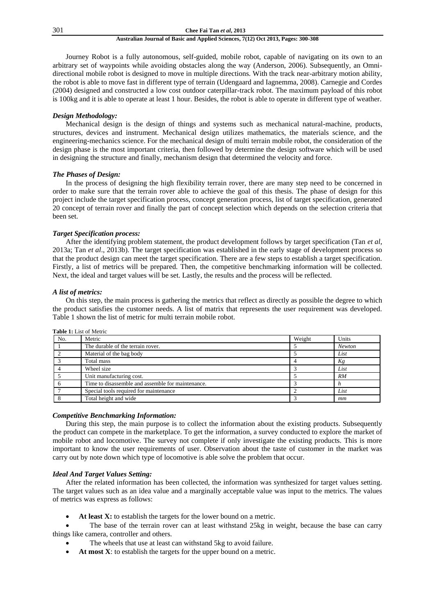### 301 **Chee Fai Tan** *et al***, 2013**

# **Australian Journal of Basic and Applied Sciences, 7(12) Oct 2013, Pages: 300-308**

Journey Robot is a fully autonomous, self-guided, mobile robot, capable of navigating on its own to an arbitrary set of waypoints while avoiding obstacles along the way (Anderson, 2006). Subsequently, an Omnidirectional mobile robot is designed to move in multiple directions. With the track near-arbitrary motion ability, the robot is able to move fast in different type of terrain (Udengaard and Iagnemma, 2008). Carnegie and Cordes (2004) designed and constructed a low cost outdoor caterpillar-track robot. The maximum payload of this robot is 100kg and it is able to operate at least 1 hour. Besides, the robot is able to operate in different type of weather.

# *Design Methodology:*

Mechanical design is the design of things and systems such as mechanical natural-machine, products, structures, devices and instrument. Mechanical design utilizes mathematics, the materials science, and the engineering-mechanics science. For the mechanical design of multi terrain mobile robot, the consideration of the design phase is the most important criteria, then followed by determine the design software which will be used in designing the structure and finally, mechanism design that determined the velocity and force.

# *The Phases of Design:*

In the process of designing the high flexibility terrain rover, there are many step need to be concerned in order to make sure that the terrain rover able to achieve the goal of this thesis. The phase of design for this project include the target specification process, concept generation process, list of target specification, generated 20 concept of terrain rover and finally the part of concept selection which depends on the selection criteria that been set.

## *Target Specification process:*

After the identifying problem statement, the product development follows by target specification (Tan *et al*, 2013a; Tan *et al*., 2013b). The target specification was established in the early stage of development process so that the product design can meet the target specification. There are a few steps to establish a target specification. Firstly, a list of metrics will be prepared. Then, the competitive benchmarking information will be collected. Next, the ideal and target values will be set. Lastly, the results and the process will be reflected.

# *A list of metrics:*

On this step, the main process is gathering the metrics that reflect as directly as possible the degree to which the product satisfies the customer needs. A list of matrix that represents the user requirement was developed. Table 1 shown the list of metric for multi terrain mobile robot.

|     | <b>Table 1:</b> List of Metric                    |        |               |
|-----|---------------------------------------------------|--------|---------------|
| No. | Metric                                            | Weight | Units         |
|     | The durable of the terrain rover.                 |        | <b>Newton</b> |
|     | Material of the bag body                          |        | List          |
|     | Total mass                                        |        | Kg            |
|     | Wheel size                                        |        | List          |
|     | Unit manufacturing cost.                          |        | <b>RM</b>     |
|     | Time to disassemble and assemble for maintenance. |        |               |
|     | Special tools required for maintenance            |        | List          |
|     | Total height and wide                             |        | mm            |

# *Competitive Benchmarking Information:*

During this step, the main purpose is to collect the information about the existing products. Subsequently the product can compete in the marketplace. To get the information, a survey conducted to explore the market of mobile robot and locomotive. The survey not complete if only investigate the existing products. This is more important to know the user requirements of user. Observation about the taste of customer in the market was carry out by note down which type of locomotive is able solve the problem that occur.

## *Ideal And Target Values Setting:*

After the related information has been collected, the information was synthesized for target values setting. The target values such as an idea value and a marginally acceptable value was input to the metrics. The values of metrics was express as follows:

At least X: to establish the targets for the lower bound on a metric.

 The base of the terrain rover can at least withstand 25kg in weight, because the base can carry things like camera, controller and others.

- The wheels that use at least can withstand 5kg to avoid failure.
- **At most X**: to establish the targets for the upper bound on a metric.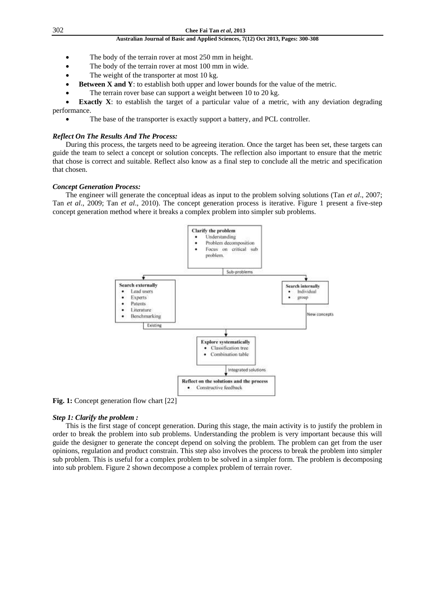- The body of the terrain rover at most 250 mm in height.
- The body of the terrain rover at most 100 mm in wide.
- The weight of the transporter at most 10 kg.
- **Between X and Y**: to establish both upper and lower bounds for the value of the metric.
- The terrain rover base can support a weight between 10 to 20 kg.

**Exactly X**: to establish the target of a particular value of a metric, with any deviation degrading performance.

The base of the transporter is exactly support a battery, and PCL controller.

## *Reflect On The Results And The Process:*

During this process, the targets need to be agreeing iteration. Once the target has been set, these targets can guide the team to select a concept or solution concepts. The reflection also important to ensure that the metric that chose is correct and suitable. Reflect also know as a final step to conclude all the metric and specification that chosen.

# *Concept Generation Process:*

The engineer will generate the conceptual ideas as input to the problem solving solutions (Tan *et al*., 2007; Tan *et al*., 2009; Tan *et al*., 2010). The concept generation process is iterative. Figure 1 present a five-step concept generation method where it breaks a complex problem into simpler sub problems.



**Fig. 1:** Concept generation flow chart [22]

### *Step 1: Clarify the problem :*

This is the first stage of concept generation. During this stage, the main activity is to justify the problem in order to break the problem into sub problems. Understanding the problem is very important because this will guide the designer to generate the concept depend on solving the problem. The problem can get from the user opinions, regulation and product constrain. This step also involves the process to break the problem into simpler sub problem. This is useful for a complex problem to be solved in a simpler form. The problem is decomposing into sub problem. Figure 2 shown decompose a complex problem of terrain rover.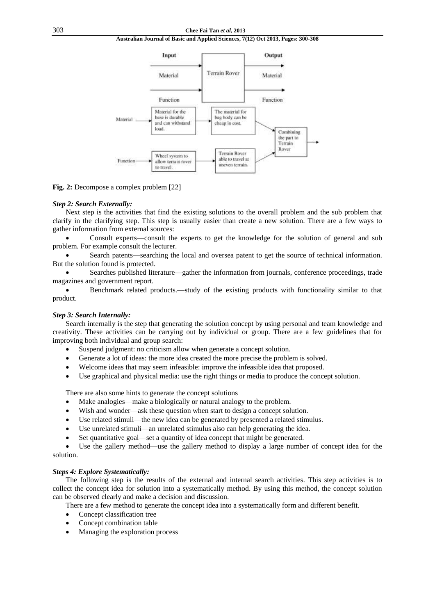

**Fig. 2:** Decompose a complex problem [22]

### *Step 2: Search Externally:*

Next step is the activities that find the existing solutions to the overall problem and the sub problem that clarify in the clarifying step. This step is usually easier than create a new solution. There are a few ways to gather information from external sources:

 Consult experts—consult the experts to get the knowledge for the solution of general and sub problem. For example consult the lecturer.

 Search patents—searching the local and oversea patent to get the source of technical information. But the solution found is protected.

 Searches published literature—gather the information from journals, conference proceedings, trade magazines and government report.

 Benchmark related products.—study of the existing products with functionality similar to that product.

# *Step 3: Search Internally:*

Search internally is the step that generating the solution concept by using personal and team knowledge and creativity. These activities can be carrying out by individual or group. There are a few guidelines that for improving both individual and group search:

- Suspend judgment: no criticism allow when generate a concept solution.
- Generate a lot of ideas: the more idea created the more precise the problem is solved.
- Welcome ideas that may seem infeasible: improve the infeasible idea that proposed.
- Use graphical and physical media: use the right things or media to produce the concept solution.

There are also some hints to generate the concept solutions

- Make analogies—make a biologically or natural analogy to the problem.
- Wish and wonder—ask these question when start to design a concept solution.
- Use related stimuli—the new idea can be generated by presented a related stimulus.
- Use unrelated stimuli—an unrelated stimulus also can help generating the idea.
- Set quantitative goal—set a quantity of idea concept that might be generated.

 Use the gallery method—use the gallery method to display a large number of concept idea for the solution.

## *Steps 4: Explore Systematically:*

The following step is the results of the external and internal search activities. This step activities is to collect the concept idea for solution into a systematically method. By using this method, the concept solution can be observed clearly and make a decision and discussion.

There are a few method to generate the concept idea into a systematically form and different benefit.

- Concept classification tree
- Concept combination table
- Managing the exploration process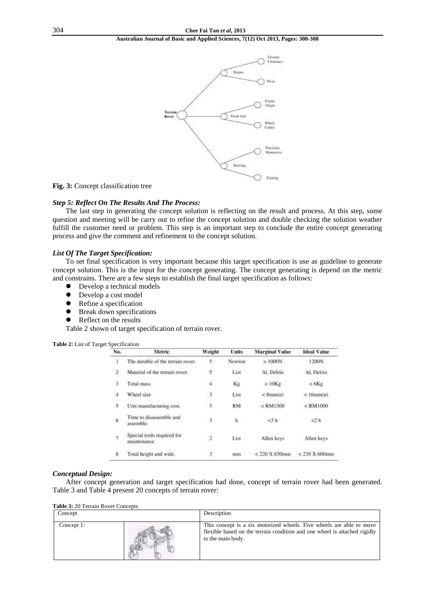

#### **Fig. 3:** Concept classification tree

# *Step 5: Reflect On The Results And The Process:*

The last step in generating the concept solution is reflecting on the result and process. At this step, some question and meeting will be carry out to refine the concept solution and double checking the solution weather fulfill the customer need or problem. This step is an important step to conclude the entire concept generating process and give the comment and refinement to the concept solution.

### *List Of The Target Specification:*

To set final specification is very important because this target specification is use as guideline to generate concept solution. This is the input for the concept generating. The concept generating is depend on the metric and constrains. There are a few steps to establish the final target specification as follows:<br>
• Develop a technical models

- Develop a technical models
- Develop a cost model
- Refine a specification
- **•** Break down specifications
- Reflect on the results

Table 2 shown of target specification of terrain rover.

| No.                | Metric                                    | Weight                  | Units  | <b>Marginal Value</b> | <b>Ideal Value</b>   |
|--------------------|-------------------------------------------|-------------------------|--------|-----------------------|----------------------|
|                    | The durable of the terrain rover.         | 5                       | Newton | >1000N                | 1200N                |
| -2                 | Material of the terrain rover.            | $5^{\circ}$             | List   | Al. Delrin            | Al. Delrin           |
| 3                  | Total mass                                | 4                       | Kg     | $< 10$ Kg             | < 6Kg                |
| $4$                | Wheel size                                | 3                       | List   | $<8$ mm $(\sigma)$    | $<$ 16 $mm(\phi)$    |
| 5                  | Unit manufacturing cost.                  | 5                       | RM     | $<$ RM1500            | $<$ RM1000           |
| 6                  | Time to disassemble and<br>assemble.      | 3.                      | 市      | $<$ 3 $h$             | 2h                   |
| -7                 | Special tools required for<br>maintenance | $\overline{2}$          | List   | Allen keys            | Allen keys           |
| $\overline{\bf 8}$ | Total height and wide.                    | $\overline{\mathbf{3}}$ | mm     | $<$ 220 X 650mm       | $<$ 230 $X$ 600 $mm$ |

**Table 2:** List of Target Specification

### *Conceptual Design:*

After concept generation and target specification had done, concept of terrain rover had been generated. Table 3 and Table 4 present 20 concepts of terrain rover:

**Table 3:** 20 Terrain Rover Concepts

| Concept    | Description                                                                                                                                                            |  |  |  |  |  |  |  |
|------------|------------------------------------------------------------------------------------------------------------------------------------------------------------------------|--|--|--|--|--|--|--|
| Concept 1: | This concept is a six motorized wheels. Five wheels are able to move<br>flexible based on the terrain condition and one wheel is attached rigidly<br>to the main body. |  |  |  |  |  |  |  |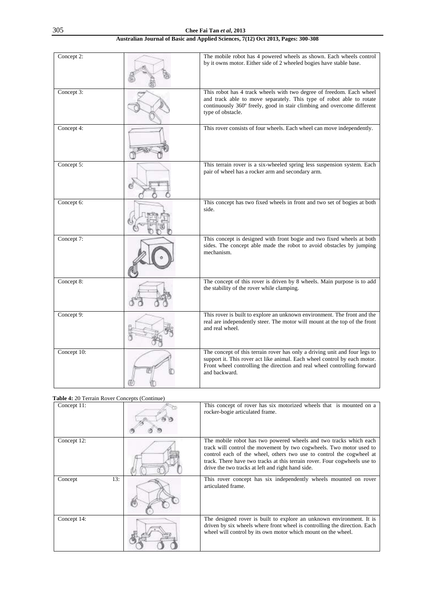| Concept 2:  | The mobile robot has 4 powered wheels as shown. Each wheels control<br>by it owns motor. Either side of 2 wheeled bogies have stable base.                                                                                                           |
|-------------|------------------------------------------------------------------------------------------------------------------------------------------------------------------------------------------------------------------------------------------------------|
| Concept 3:  | This robot has 4 track wheels with two degree of freedom. Each wheel<br>and track able to move separately. This type of robot able to rotate<br>continuously 360° freely, good in stair climbing and overcome different<br>type of obstacle.         |
| Concept 4:  | This rover consists of four wheels. Each wheel can move independently.                                                                                                                                                                               |
| Concept 5:  | This terrain rover is a six-wheeled spring less suspension system. Each<br>pair of wheel has a rocker arm and secondary arm.                                                                                                                         |
| Concept 6:  | This concept has two fixed wheels in front and two set of bogies at both<br>side.                                                                                                                                                                    |
| Concept 7:  | This concept is designed with front bogie and two fixed wheels at both<br>sides. The concept able made the robot to avoid obstacles by jumping<br>mechanism.                                                                                         |
| Concept 8:  | The concept of this rover is driven by 8 wheels. Main purpose is to add<br>the stability of the rover while clamping.                                                                                                                                |
| Concept 9:  | This rover is built to explore an unknown environment. The front and the<br>real are independently steer. The motor will mount at the top of the front<br>and real wheel.                                                                            |
| Concept 10: | The concept of this terrain rover has only a driving unit and four legs to<br>support it. This rover act like animal. Each wheel control by each motor.<br>Front wheel controlling the direction and real wheel controlling forward<br>and backward. |

|             | <b>Table 4:</b> 20 Terrain Rover Concepts (Continue) |                                                                                                                                                                                                                                                                                                                                                    |
|-------------|------------------------------------------------------|----------------------------------------------------------------------------------------------------------------------------------------------------------------------------------------------------------------------------------------------------------------------------------------------------------------------------------------------------|
| Concept 11: |                                                      | This concept of rover has six motorized wheels that is mounted on a<br>rocker-bogie articulated frame.                                                                                                                                                                                                                                             |
| Concept 12: |                                                      | The mobile robot has two powered wheels and two tracks which each<br>track will control the movement by two cogwheels. Two motor used to<br>control each of the wheel, others two use to control the cogwheel at<br>track. There have two tracks at this terrain rover. Four cogwheels use to<br>drive the two tracks at left and right hand side. |
| Concept     | 13:                                                  | This rover concept has six independently wheels mounted on rover<br>articulated frame.                                                                                                                                                                                                                                                             |
| Concept 14: |                                                      | The designed rover is built to explore an unknown environment. It is<br>driven by six wheels where front wheel is controlling the direction. Each<br>wheel will control by its own motor which mount on the wheel.                                                                                                                                 |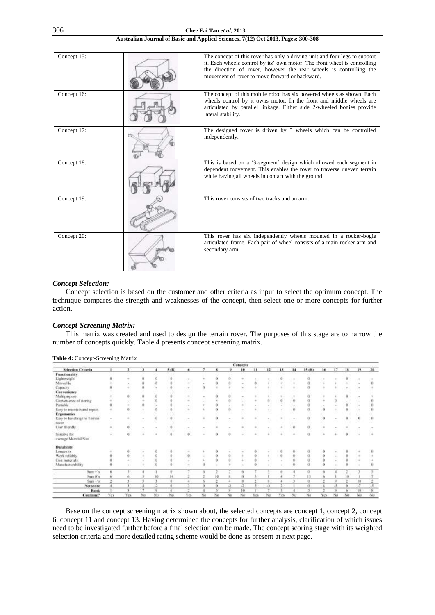| Concept 15: | The concept of this rover has only a driving unit and four legs to support<br>it. Each wheels control by its' own motor. The front wheel is controlling<br>the direction of rover, however the rear wheels is controlling the<br>movement of rover to move forward or backward. |
|-------------|---------------------------------------------------------------------------------------------------------------------------------------------------------------------------------------------------------------------------------------------------------------------------------|
| Concept 16: | The concept of this mobile robot has six powered wheels as shown. Each<br>wheels control by it owns motor. In the front and middle wheels are<br>articulated by parallel linkage. Either side 2-wheeled bogies provide<br>lateral stability.                                    |
| Concept 17: | The designed rover is driven by 5 wheels which can be controlled<br>independently.                                                                                                                                                                                              |
| Concept 18: | This is based on a '3-segment' design which allowed each segment in<br>dependent movement. This enables the rover to traverse uneven terrain<br>while having all wheels in contact with the ground.                                                                             |
| Concept 19: | This rover consists of two tracks and an arm.                                                                                                                                                                                                                                   |
| Concept 20: | This rover has six independently wheels mounted in a rocker-bogie<br>articulated frame. Each pair of wheel consists of a main rocker arm and<br>secondary arm.                                                                                                                  |

# *Concept Selection:*

Concept selection is based on the customer and other criteria as input to select the optimum concept. The technique compares the strength and weaknesses of the concept, then select one or more concepts for further action.

### *Concept-Screening Matrix:*

This matrix was created and used to design the terrain rover. The purposes of this stage are to narrow the number of concepts quickly. Table 4 presents concept screening matrix.

|                                       |            |     |        |        |                |        |                  |    |        | Concepts |               |                           |            |    |        |                     |        |                          |                   |     |
|---------------------------------------|------------|-----|--------|--------|----------------|--------|------------------|----|--------|----------|---------------|---------------------------|------------|----|--------|---------------------|--------|--------------------------|-------------------|-----|
| <b>Selection Criteria</b>             |            | 1   | 3      | ٠      | 5 (R)          | £      |                  |    | u      | 19       | $\mathbf{u}$  | $\overline{1}$            | 13         | 14 | 15 (R) | 16                  | 17     | 18                       | 19.               | 20. |
| <b>Functionality</b>                  |            |     |        |        |                |        |                  |    |        |          |               |                           |            |    |        |                     |        |                          |                   |     |
| Lightweight                           |            |     |        |        | о              |        |                  |    |        |          |               |                           | o          |    |        |                     |        |                          |                   |     |
| Moveable                              |            |     |        |        | Ð              | ÷      |                  |    |        |          | ö             |                           |            |    |        |                     |        |                          | $\sim$            |     |
| Capacity                              |            |     |        |        |                |        |                  |    |        |          |               |                           |            |    |        |                     |        |                          |                   |     |
| Convenience:                          |            |     |        |        |                |        |                  |    |        |          |               |                           |            |    |        |                     |        |                          |                   |     |
| Multipurpose                          |            | ÷   |        |        | Ð              | ٠      |                  |    | Ü.     |          | ٠             |                           |            |    |        |                     |        | $\blacksquare$           |                   |     |
| Convenience of storing                |            |     |        |        |                |        |                  |    |        |          |               | ù                         | ō          |    |        |                     |        |                          |                   |     |
| Portable                              |            |     |        |        | $\theta$       | $\sim$ |                  |    |        |          | $\sim$        |                           |            |    |        |                     |        |                          |                   |     |
| Easy to maintain and repair.          |            |     |        |        |                |        |                  |    |        |          |               |                           |            |    |        | $\ddot{a}$          |        |                          |                   |     |
| <b>Ergonomics</b>                     |            |     |        |        |                |        |                  |    |        |          |               |                           |            |    |        |                     |        |                          |                   |     |
| Easy to handling the Termin           | $\sim$     |     |        |        | $\Omega$       | $\sim$ |                  | Ð  | $\sim$ |          | $\frac{1}{2}$ | $\mathcal{P}_\mathcal{L}$ |            |    |        | $\theta$            |        |                          | $\mathbf{u}$      |     |
| <b>INV/JF</b>                         |            |     |        |        |                |        |                  |    |        |          |               |                           |            |    |        |                     |        |                          |                   |     |
| User thiendly.                        |            | ö   | $\sim$ | $\sim$ | $^{0}$         | $\sim$ | $\sim$           |    | $\sim$ |          | ٠             |                           |            | ä  |        |                     |        |                          | $\sim$            |     |
| Suitable for<br>average Material Size | $\sim$     | ö   |        | $\sim$ | $\theta$       | ö      | $\sim$           | Ú. | ö      |          | ÷             |                           |            |    | 0      |                     |        | ö.                       |                   |     |
| <b>Derability</b>                     |            |     |        |        |                |        |                  |    |        |          |               |                           |            |    |        |                     |        |                          |                   |     |
| Longevity                             |            |     |        |        |                |        |                  |    |        |          |               |                           | o          |    |        |                     |        |                          |                   |     |
| Work reliably.                        |            |     |        |        | $\theta$       | o      |                  |    | Ü.     |          | ö             |                           | $\alpha$   |    | ű      | ō                   | $\sim$ |                          |                   |     |
| Cost materials:                       |            |     |        |        |                |        |                  |    |        |          |               |                           |            |    |        | $\ddot{\mathbf{0}}$ |        |                          |                   |     |
| Manufacturability                     |            |     |        |        |                |        |                  |    |        |          |               |                           |            |    |        | ō                   |        |                          |                   |     |
| $Sum - s$                             | 6.         |     |        |        | 0              |        | 6                |    | T.     | ñ        |               |                           | ÷          |    | o      | 6                   |        | 作                        |                   |     |
| Sum ft's                              | ĸ          |     |        | 10     | 14             |        | $\sigma_{\rm K}$ | ю  |        | Ĥ        |               |                           |            |    | 13     | ñ                   |        | 10                       |                   |     |
| $Sum - 's$                            | ä,         |     |        |        | $\overline{a}$ |        | ň                | 75 |        | u        |               |                           |            |    | 0      | Ξ                   | 华      | $\overline{\phantom{a}}$ | 10                |     |
| Net score                             |            |     |        | -2     | 0.             |        | ü                | n, | -2     | -2       |               | Δ                         |            |    | ű      | ż                   | -5     | a.                       | $-7$              | s   |
| Rank                                  |            |     |        | ٠      | 6              |        |                  |    | ×      | $10 -$   |               |                           |            |    |        |                     | u      | v.                       | <b>STAR</b><br>10 | R   |
| Continue?                             | <b>Yes</b> | Yes | No     | No     | No             | Yes-   | No               | No | No     | No       | Yes.          | No                        | <b>Yis</b> | No | No     | Yes                 | No     | No                       | No                | No  |

#### **Table 4:** Concept-Screening Matrix

Base on the concept screening matrix shown about, the selected concepts are concept 1, concept 2, concept 6, concept 11 and concept 13. Having determined the concepts for further analysis, clarification of which issues need to be investigated further before a final selection can be made. The concept scoring stage with its weighted selection criteria and more detailed rating scheme would be done as present at next page.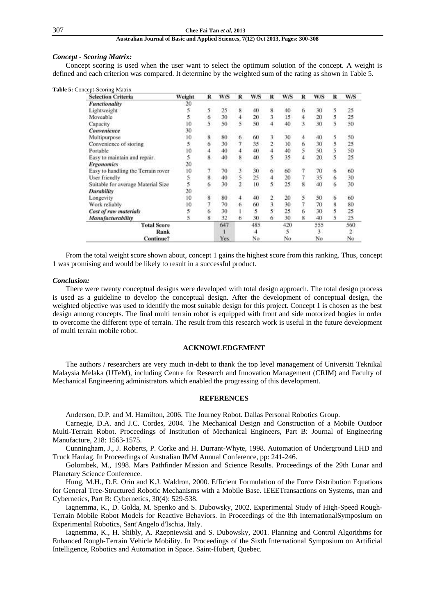## 307 **Chee Fai Tan** *et al***, 2013**

# **Australian Journal of Basic and Applied Sciences, 7(12) Oct 2013, Pages: 300-308**

### *Concept - Scoring Matrix:*

Concept scoring is used when the user want to select the optimum solution of the concept. A weight is defined and each criterion was compared. It determine by the weighted sum of the rating as shown in Table 5.

|  | <b>Table 5:</b> Concept-Scoring Matrix |
|--|----------------------------------------|
|--|----------------------------------------|

| <b>Selection Criteria</b>          | Weight | R | W/S  | R | W/S | R  | W/S | R | W/S | R | W/S |
|------------------------------------|--------|---|------|---|-----|----|-----|---|-----|---|-----|
| <b>Functionality</b>               | 20     |   |      |   |     |    |     |   |     |   |     |
| Lightweight                        |        | 5 | 25   | 8 | 40  | 8  | 40  | 6 | 30  | 5 | 25  |
| Moveable                           |        | 6 | 30   |   | 20  |    | 15  |   | 20  | 5 | 25  |
| Capacity                           | I0     | 5 | 50   |   | 50  |    | 40  | 3 | 30  | 5 | 50  |
| Convenience                        | 30     |   |      |   |     |    |     |   |     |   |     |
| Multipurpose                       | 10     | 8 | 80   | 6 | 60  |    | 30  | 4 | 40  | 5 | 50  |
| Convenience of storing             |        | 6 | 30   |   | 35  |    | 10  | 6 | 30  | 5 | 25  |
| Portable                           | 10     |   | 40   |   | 40  |    | 40  |   | 50  | 5 | 50  |
| Easy to maintain and repair.       |        | 8 | 40   | 8 | 40  |    | 35  | 4 | 20  | 5 | 25  |
| <b>Ergonomics</b>                  | 20     |   |      |   |     |    |     |   |     |   |     |
| Easy to handling the Terrain rover | 10     |   | 70   |   | 30  | 6  | 60  |   | 70  | 6 | 60  |
| User friendly                      |        | 8 | 40   | 5 | 25  |    | 20  |   | 35  | 6 | 30  |
| Suitable for average Material Size |        | 6 | 30   |   | 10  |    | 25  | 8 | 40  | 6 | 30  |
| Durability                         | 20     |   |      |   |     |    |     |   |     |   |     |
| Longevity                          | 10     | 8 | 80   |   | 40  |    | 20  | 5 | 50  | 6 | 60  |
| Work reliably                      | 10     |   | 70   |   | 60  |    | 30  |   | 70  | 8 | 80  |
| Cost of raw materials              |        | 6 | 30   |   |     |    | 25  | 6 | 30  | 5 | 25  |
| Manufacturability                  |        | 8 | 32   | 6 | 30  | 6. | 30  | 8 | 40  | 5 | 25  |
| <b>Total Score</b>                 |        |   | 647  |   | 485 |    | 420 |   | 555 |   | 560 |
| Rank                               |        |   |      |   |     |    |     |   | 3   |   |     |
| Continue?                          |        |   | Yes. |   | No  |    | No  |   | No  |   | No  |

From the total weight score shown about, concept 1 gains the highest score from this ranking. Thus, concept 1 was promising and would be likely to result in a successful product.

### *Conclusion:*

There were twenty conceptual designs were developed with total design approach. The total design process is used as a guideline to develop the conceptual design. After the development of conceptual design, the weighted objective was used to identify the most suitable design for this project. Concept 1 is chosen as the best design among concepts. The final multi terrain robot is equipped with front and side motorized bogies in order to overcome the different type of terrain. The result from this research work is useful in the future development of multi terrain mobile robot.

### **ACKNOWLEDGEMENT**

The authors / researchers are very much in-debt to thank the top level management of Universiti Teknikal Malaysia Melaka (UTeM), including Centre for Research and Innovation Management (CRIM) and Faculty of Mechanical Engineering administrators which enabled the progressing of this development.

# **REFERENCES**

Anderson, D.P. and M. Hamilton, 2006. The Journey Robot. Dallas Personal Robotics Group.

Carnegie, D.A. and J.C. Cordes, 2004. The Mechanical Design and Construction of a Mobile Outdoor Multi-Terrain Robot. Proceedings of Institution of Mechanical Engineers, Part B: Journal of Engineering Manufacture, 218: 1563-1575.

Cunningham, J., J. Roberts, P. Corke and H. Durrant-Whyte, 1998. Automation of Underground LHD and Truck Haulag. In Proceedings of Australian IMM Annual Conference, pp: 241-246.

Golombek, M., 1998. Mars Pathfinder Mission and Science Results. Proceedings of the 29th Lunar and Planetary Science Conference.

Hung, M.H., D.E. Orin and K.J. Waldron, 2000. Efficient Formulation of the Force Distribution Equations for General Tree-Structured Robotic Mechanisms with a Mobile Base. IEEETransactions on Systems, man and Cybernetics, Part B: Cybernetics, 30(4): 529-538.

Iagnemma, K., D. Golda, M. Spenko and S. Dubowsky, 2002. Experimental Study of High-Speed Rough-Terrain Mobile Robot Models for Reactive Behaviors. In Proceedings of the 8th InternationalSymposium on Experimental Robotics, Sant'Angelo d'Ischia, Italy.

Iagnemma, K., H. Shibly, A. Rzepniewski and S. Dubowsky, 2001. Planning and Control Algorithms for Enhanced Rough-Terrain Vehicle Mobility. In Proceedings of the Sixth International Symposium on Artificial Intelligence, Robotics and Automation in Space. Saint-Hubert, Quebec.